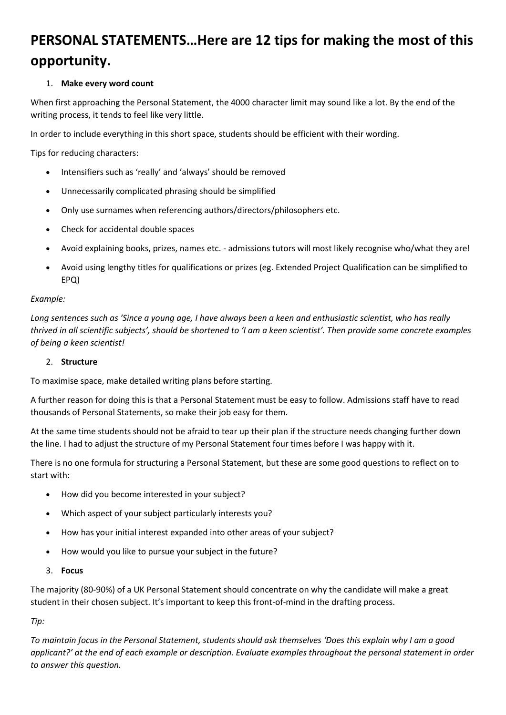# **PERSONAL STATEMENTS…Here are 12 tips for making the most of this opportunity.**

# 1. **Make every word count**

When first approaching the Personal Statement, the 4000 character limit may sound like a lot. By the end of the writing process, it tends to feel like very little.

In order to include everything in this short space, students should be efficient with their wording.

Tips for reducing characters:

- Intensifiers such as 'really' and 'always' should be removed
- Unnecessarily complicated phrasing should be simplified
- Only use surnames when referencing authors/directors/philosophers etc.
- Check for accidental double spaces
- Avoid explaining books, prizes, names etc. admissions tutors will most likely recognise who/what they are!
- Avoid using lengthy titles for qualifications or prizes (eg. Extended Project Qualification can be simplified to EPQ)

### *Example:*

*Long sentences such as 'Since a young age, I have always been a keen and enthusiastic scientist, who has really thrived in all scientific subjects', should be shortened to 'I am a keen scientist'. Then provide some concrete examples of being a keen scientist!*

#### 2. **Structure**

To maximise space, make detailed writing plans before starting.

A further reason for doing this is that a Personal Statement must be easy to follow. Admissions staff have to read thousands of Personal Statements, so make their job easy for them.

At the same time students should not be afraid to tear up their plan if the structure needs changing further down the line. I had to adjust the structure of my Personal Statement four times before I was happy with it.

There is no one formula for structuring a Personal Statement, but these are some good questions to reflect on to start with:

- How did you become interested in your subject?
- Which aspect of your subject particularly interests you?
- How has your initial interest expanded into other areas of your subject?
- How would you like to pursue your subject in the future?
- 3. **Focus**

The majority (80-90%) of a UK Personal Statement should concentrate on why the candidate will make a great student in their chosen subject. It's important to keep this front-of-mind in the drafting process.

*Tip:*

*To maintain focus in the Personal Statement, students should ask themselves 'Does this explain why I am a good applicant?' at the end of each example or description. Evaluate examples throughout the personal statement in order to answer this question.*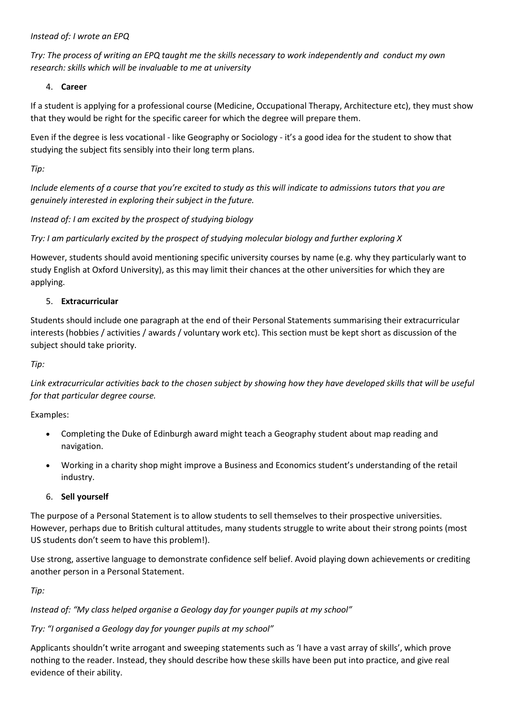*Instead of: I wrote an EPQ*

*Try: The process of writing an EPQ taught me the skills necessary to work independently and conduct my own research: skills which will be invaluable to me at university*

4. **Career**

If a student is applying for a professional course (Medicine, Occupational Therapy, Architecture etc), they must show that they would be right for the specific career for which the degree will prepare them.

Even if the degree is less vocational - like Geography or Sociology - it's a good idea for the student to show that studying the subject fits sensibly into their long term plans.

*Tip:*

*Include elements of a course that you're excited to study as this will indicate to admissions tutors that you are genuinely interested in exploring their subject in the future.*

*Instead of: I am excited by the prospect of studying biology*

*Try: I am particularly excited by the prospect of studying molecular biology and further exploring X*

However, students should avoid mentioning specific university courses by name (e.g. why they particularly want to study English at Oxford University), as this may limit their chances at the other universities for which they are applying.

# 5. **Extracurricular**

Students should include one paragraph at the end of their Personal Statements summarising their extracurricular interests (hobbies / activities / awards / voluntary work etc). This section must be kept short as discussion of the subject should take priority.

*Tip:*

*Link extracurricular activities back to the chosen subject by showing how they have developed skills that will be useful for that particular degree course.*

Examples:

- Completing the Duke of Edinburgh award might teach a Geography student about map reading and navigation.
- Working in a charity shop might improve a Business and Economics student's understanding of the retail industry.
- 6. **Sell yourself**

The purpose of a Personal Statement is to allow students to sell themselves to their prospective universities. However, perhaps due to British cultural attitudes, many students struggle to write about their strong points (most US students don't seem to have this problem!).

Use strong, assertive language to demonstrate confidence self belief. Avoid playing down achievements or crediting another person in a Personal Statement.

*Tip:*

*Instead of: "My class helped organise a Geology day for younger pupils at my school"*

# *Try: "I organised a Geology day for younger pupils at my school"*

Applicants shouldn't write arrogant and sweeping statements such as 'I have a vast array of skills', which prove nothing to the reader. Instead, they should describe how these skills have been put into practice, and give real evidence of their ability.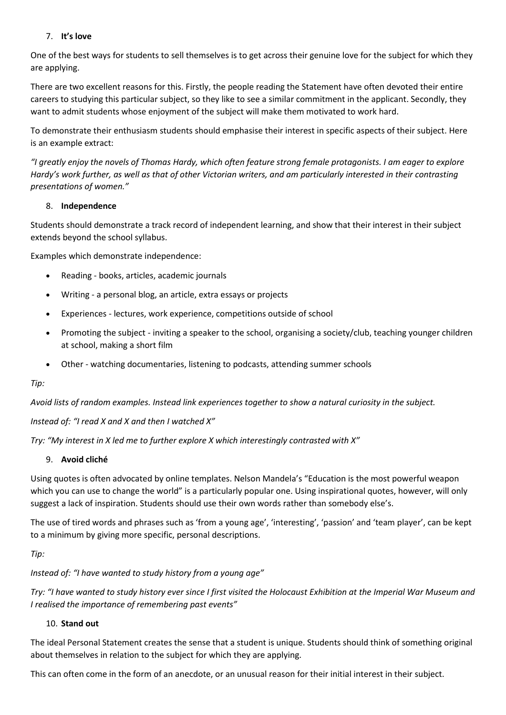# 7. **It's love**

One of the best ways for students to sell themselves is to get across their genuine love for the subject for which they are applying.

There are two excellent reasons for this. Firstly, the people reading the Statement have often devoted their entire careers to studying this particular subject, so they like to see a similar commitment in the applicant. Secondly, they want to admit students whose enjoyment of the subject will make them motivated to work hard.

To demonstrate their enthusiasm students should emphasise their interest in specific aspects of their subject. Here is an example extract:

*"I greatly enjoy the novels of Thomas Hardy, which often feature strong female protagonists. I am eager to explore Hardy's work further, as well as that of other Victorian writers, and am particularly interested in their contrasting presentations of women."*

### 8. **Independence**

Students should demonstrate a track record of independent learning, and show that their interest in their subject extends beyond the school syllabus.

Examples which demonstrate independence:

- Reading books, articles, academic journals
- Writing a personal blog, an article, extra essays or projects
- Experiences lectures, work experience, competitions outside of school
- Promoting the subject inviting a speaker to the school, organising a society/club, teaching younger children at school, making a short film
- Other watching documentaries, listening to podcasts, attending summer schools

*Tip:*

*Avoid lists of random examples. Instead link experiences together to show a natural curiosity in the subject.*

*Instead of: "I read X and X and then I watched X"*

*Try: "My interest in X led me to further explore X which interestingly contrasted with X"*

#### 9. **Avoid cliché**

Using quotes is often advocated by online templates. Nelson Mandela's "Education is the most powerful weapon which you can use to change the world" is a particularly popular one. Using inspirational quotes, however, will only suggest a lack of inspiration. Students should use their own words rather than somebody else's.

The use of tired words and phrases such as 'from a young age', 'interesting', 'passion' and 'team player', can be kept to a minimum by giving more specific, personal descriptions.

*Tip:*

*Instead of: "I have wanted to study history from a young age"*

*Try: "I have wanted to study history ever since I first visited the Holocaust Exhibition at the Imperial War Museum and I realised the importance of remembering past events"*

### 10. **Stand out**

The ideal Personal Statement creates the sense that a student is unique. Students should think of something original about themselves in relation to the subject for which they are applying.

This can often come in the form of an anecdote, or an unusual reason for their initial interest in their subject.